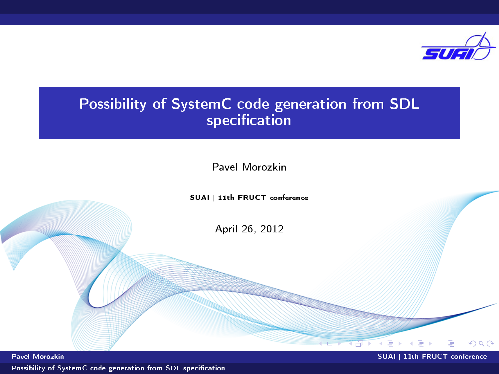

# Possibility of SystemC code generation from SDL specification

Pavel Morozkin

SUAI | 11th FRUCT conference

April 26, 2012

 $\sqrt{a}$ 

(例) (目) (

重

<span id="page-0-0"></span> $2Q$ 

Pavel Morozkin SUAI | 11th FRUCT conference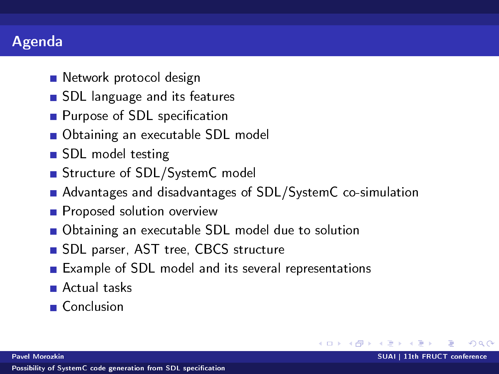## Agenda

- Network protocol design
- SDL language and its features
- $\blacksquare$  Purpose of SDL specification
- Obtaining an executable SDL model
- SDL model testing
- Structure of SDL/SystemC model
- Advantages and disadvantages of SDL/SystemC co-simulation

 $QQ$ 

メタト メミト メミト

- **Proposed solution overview**
- Obtaining an executable SDL model due to solution
- SDL parser, AST tree, CBCS structure
- Example of SDL model and its several representations
- Actual tasks
- Conclusion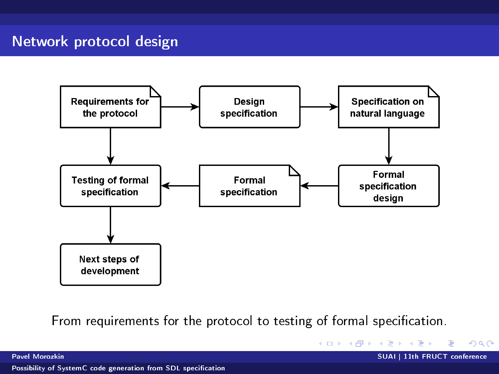## Network protocol design



From requirements for the protocol to testing of formal specification.

K ロ X K (日) X X B X X B X X B

 $2Q$ 

Pavel Morozkin SUAI | 11th FRUCT conference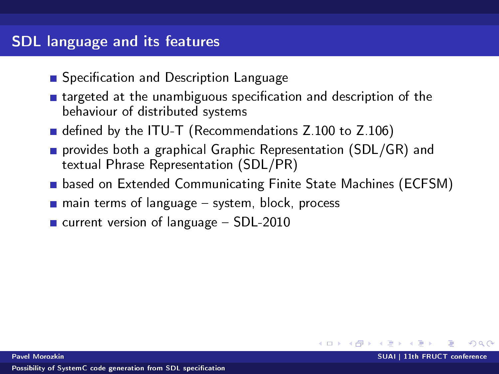### SDL language and its features

- Specification and Description Language
- $\blacksquare$  targeted at the unambiguous specification and description of the behaviour of distributed systems
- defined by the ITU-T (Recommendations  $Z.100$  to  $Z.106$ )
- **provides both a graphical Graphic Representation (SDL/GR) and** textual Phrase Representation (SDL/PR)
- based on Extended Communicating Finite State Machines (ECFSM)

イロト イ母 トマ ヨ トマ ヨ ト

- $\blacksquare$  main terms of language  $\blacksquare$  system, block, process
- $\blacksquare$  current version of language  $-$  SDL-2010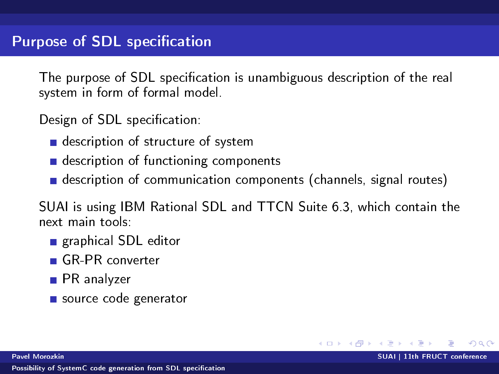The purpose of SDL specification is unambiguous description of the real system in form of formal model.

Design of SDL specification:

- description of structure of system
- description of functioning components
- description of communication components (channels, signal routes)

SUAI is using IBM Rational SDL and TTCN Suite 6.3, which contain the next main tools:

- X ヨ × X ヨ ×

- graphical SDL editor
- GR-PR converter
- **PR** analyzer
- source code generator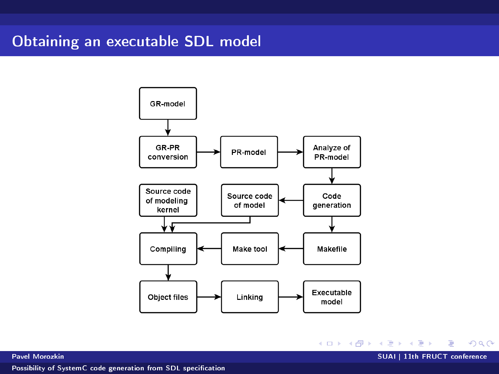### Obtaining an executable SDL model



イロト イ団ト イミト イミト ニヨー の女の

Pavel Morozkin SUAI | 11th FRUCT conference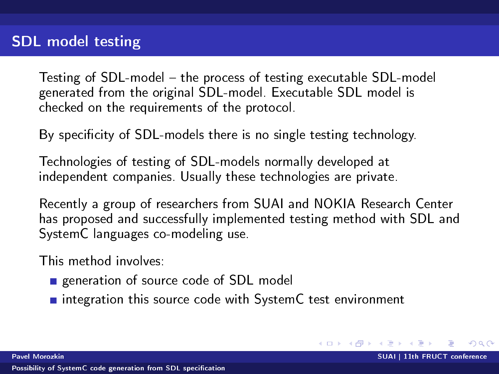Testing of SDL-model the process of testing executable SDL-model generated from the original SDL-model. Executable SDL model is checked on the requirements of the protocol.

By specificity of SDL-models there is no single testing technology.

Technologies of testing of SDL-models normally developed at independent companies. Usually these technologies are private.

Recently a group of researchers from SUAI and NOKIA Research Center has proposed and successfully implemented testing method with SDL and SystemC languages co-modeling use.

キロメ オ御き メミメ メミメ

<span id="page-6-0"></span> $\Omega$ 

This method involves:

- generation of source code of SDL model
- $\blacksquare$  integration this source code with SystemC test environment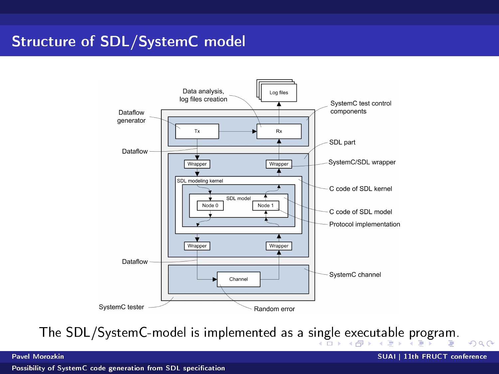# Structure of SDL/SystemC model



The SDL/SystemC-model is implemented as a s[ing](#page-6-0)[le](#page-8-0) [e](#page-6-0)[xec](#page-7-0)[u](#page-8-0)[ta](#page-0-0)[ble](#page-14-0) [pr](#page-0-0)[og](#page-14-0)[ra](#page-0-0)[m.](#page-14-0)

<span id="page-7-0"></span> $2Q$ 

Pavel Morozkin SUAI | 11th FRUCT conference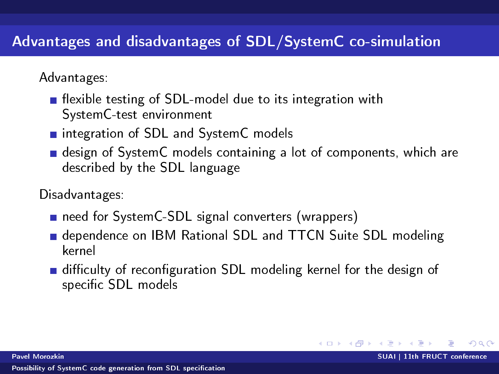# Advantages and disadvantages of SDL/SystemC co-simulation

Advantages:

- **Example 1** flexible testing of SDL-model due to its integration with SystemC-test environment
- integration of SDL and System C models
- design of SystemC models containing a lot of components, which are described by the SDL language

Disadvantages:

- need for SystemC-SDL signal converters (wrappers)
- dependence on IBM Rational SDL and TTCN Suite SDL modeling kernel
- difficulty of reconfiguration SDL modeling kernel for the design of specific SDL models

イロト イ母ト イヨト イヨト

<span id="page-8-0"></span> $\Omega$ 

Pavel Morozkin SUAI | 11th FRUCT conference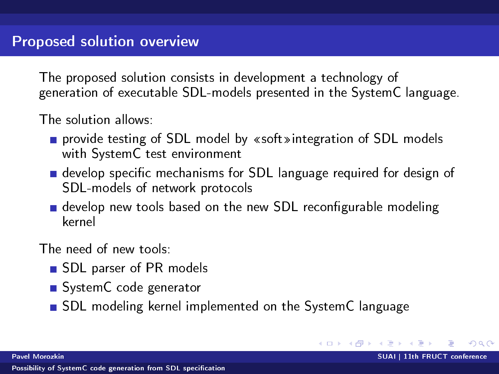The proposed solution consists in development a technology of generation of executable SDL-models presented in the SystemC language.

The solution allows:

- provide testing of SDL model by «soft» integration of SDL models with SystemC test environment
- develop specific mechanisms for SDL language required for design of SDL-models of network protocols
- $\blacksquare$  develop new tools based on the new SDL reconfigurable modeling kernel

The need of new tools:

- SDL parser of PR models
- System C code generator
- SDL modeling kernel implemented on the SystemC language

<span id="page-9-0"></span>K ロ ▶ K 御 ▶ K 君 ▶ K 君 ▶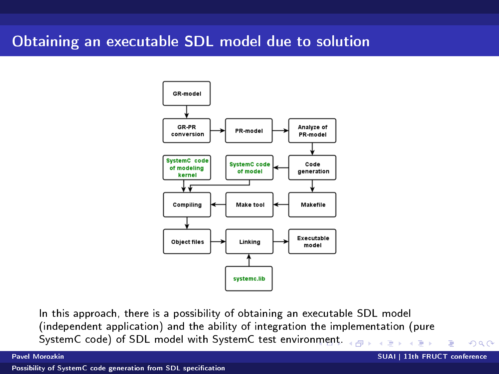#### Obtaining an executable SDL model due to solution



In this approach, there is a possibility of obtaining an executable SDL model (independent application) and the ability of integration the implementation (pure SystemC code) of SDL model with SystemC test enviro[nme](#page-9-0)[nt.](#page-11-0)  $\mathbf{K}=\mathbf{K}$  $\mathbb{B}$  is a  $\mathbb{B}$  is

 $2Q$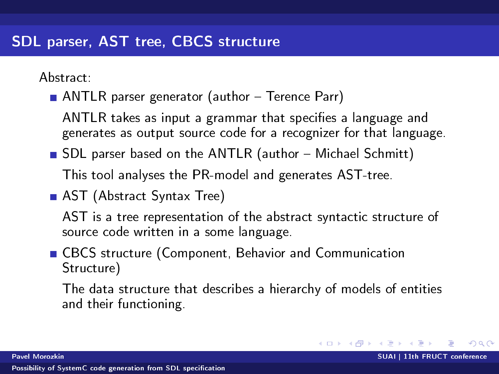Abstract:

 $\blacksquare$  ANTLR parser generator (author  $\blacksquare$  Terence Parr)

ANTLR takes as input a grammar that specifies a language and generates as output source code for a recognizer for that language.

SDL parser based on the ANTLR (author - Michael Schmitt)

This tool analyses the PR-model and generates AST-tree.

■ AST (Abstract Syntax Tree)

AST is a tree representation of the abstract syntactic structure of source code written in a some language.

CBCS structure (Component, Behavior and Communication Structure)

The data structure that describes a hierarchy of models of entities and their functioning.

<span id="page-11-0"></span>イロト イ母ト イヨト イヨト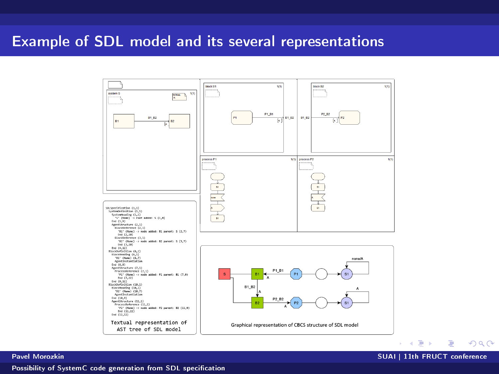### Example of SDL model and its several representations



Pavel Morozkin SUAI | 11th FRUCT conference

重  $\Omega$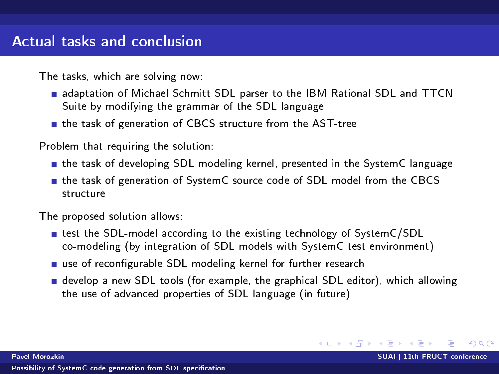The tasks, which are solving now:

- **adaptation of Michael Schmitt SDL parser to the IBM Rational SDL and TTCN** Suite by modifying the grammar of the SDL language
- the task of generation of CBCS structure from the AST-tree

Problem that requiring the solution:

- the task of developing SDL modeling kernel, presented in the SystemC language
- **the task of generation of SystemC source code of SDL model from the CBCS** structure

The proposed solution allows:

- test the SDL-model according to the existing technology of SystemC/SDL co-modeling (by integration of SDL models with SystemC test environment)
- use of reconfigurable SDL modeling kernel for further research
- develop a new SDL tools (for example, the graphical SDL editor), which allowing the use of advanced properties of SDL language (in future)

メロト メタト メミト メミト

 $QQQ$ 

Pavel Morozkin SUAI | 11th FRUCT conference